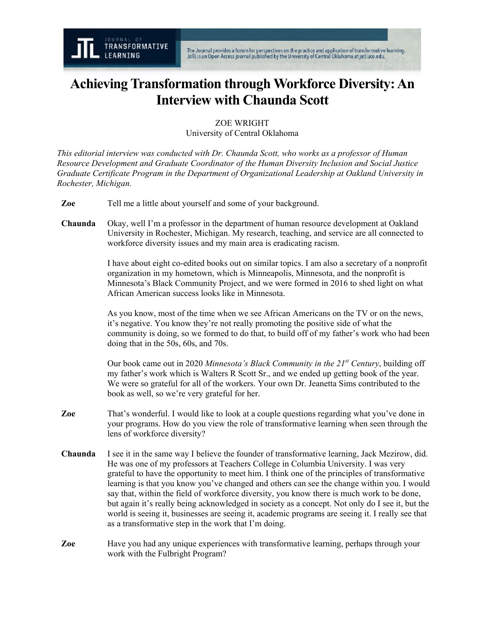## **Achieving Transformation through Workforce Diversity: An Interview with Chaunda Scott**

ZOE WRIGHT University of Central Oklahoma

*This editorial interview was conducted with Dr. Chaunda Scott, who works as a professor of Human Resource Development and Graduate Coordinator of the Human Diversity Inclusion and Social Justice Graduate Certificate Program in the Department of Organizational Leadership at Oakland University in Rochester, Michigan.*

- **Zoe** Tell me a little about yourself and some of your background.
- **Chaunda** Okay, well I'm a professor in the department of human resource development at Oakland University in Rochester, Michigan. My research, teaching, and service are all connected to workforce diversity issues and my main area is eradicating racism.

I have about eight co-edited books out on similar topics. I am also a secretary of a nonprofit organization in my hometown, which is Minneapolis, Minnesota, and the nonprofit is Minnesota's Black Community Project, and we were formed in 2016 to shed light on what African American success looks like in Minnesota.

As you know, most of the time when we see African Americans on the TV or on the news, it's negative. You know they're not really promoting the positive side of what the community is doing, so we formed to do that, to build off of my father's work who had been doing that in the 50s, 60s, and 70s.

Our book came out in 2020 *Minnesota's Black Community in the 21st Century*, building off my father's work which is Walters R Scott Sr., and we ended up getting book of the year. We were so grateful for all of the workers. Your own Dr. Jeanetta Sims contributed to the book as well, so we're very grateful for her.

- **Zoe** That's wonderful. I would like to look at a couple questions regarding what you've done in your programs. How do you view the role of transformative learning when seen through the lens of workforce diversity?
- **Chaunda** I see it in the same way I believe the founder of transformative learning, Jack Mezirow, did. He was one of my professors at Teachers College in Columbia University. I was very grateful to have the opportunity to meet him. I think one of the principles of transformative learning is that you know you've changed and others can see the change within you. I would say that, within the field of workforce diversity, you know there is much work to be done, but again it's really being acknowledged in society as a concept. Not only do I see it, but the world is seeing it, businesses are seeing it, academic programs are seeing it. I really see that as a transformative step in the work that I'm doing.
- **Zoe** Have you had any unique experiences with transformative learning, perhaps through your work with the Fulbright Program?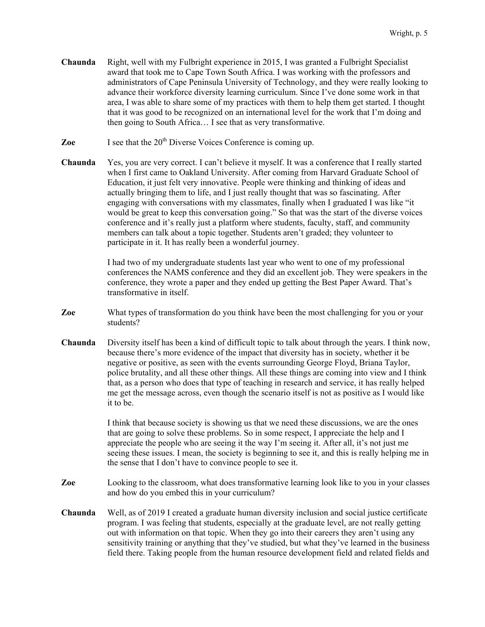- **Chaunda** Right, well with my Fulbright experience in 2015, I was granted a Fulbright Specialist award that took me to Cape Town South Africa. I was working with the professors and administrators of Cape Peninsula University of Technology, and they were really looking to advance their workforce diversity learning curriculum. Since I've done some work in that area, I was able to share some of my practices with them to help them get started. I thought that it was good to be recognized on an international level for the work that I'm doing and then going to South Africa… I see that as very transformative.
- **Zoe** I see that the 20<sup>th</sup> Diverse Voices Conference is coming up.
- **Chaunda** Yes, you are very correct. I can't believe it myself. It was a conference that I really started when I first came to Oakland University. After coming from Harvard Graduate School of Education, it just felt very innovative. People were thinking and thinking of ideas and actually bringing them to life, and I just really thought that was so fascinating. After engaging with conversations with my classmates, finally when I graduated I was like "it would be great to keep this conversation going." So that was the start of the diverse voices conference and it's really just a platform where students, faculty, staff, and community members can talk about a topic together. Students aren't graded; they volunteer to participate in it. It has really been a wonderful journey.

I had two of my undergraduate students last year who went to one of my professional conferences the NAMS conference and they did an excellent job. They were speakers in the conference, they wrote a paper and they ended up getting the Best Paper Award. That's transformative in itself.

- **Zoe** What types of transformation do you think have been the most challenging for you or your students?
- **Chaunda** Diversity itself has been a kind of difficult topic to talk about through the years. I think now, because there's more evidence of the impact that diversity has in society, whether it be negative or positive, as seen with the events surrounding George Floyd, Briana Taylor, police brutality, and all these other things. All these things are coming into view and I think that, as a person who does that type of teaching in research and service, it has really helped me get the message across, even though the scenario itself is not as positive as I would like it to be.

I think that because society is showing us that we need these discussions, we are the ones that are going to solve these problems. So in some respect, I appreciate the help and I appreciate the people who are seeing it the way I'm seeing it. After all, it's not just me seeing these issues. I mean, the society is beginning to see it, and this is really helping me in the sense that I don't have to convince people to see it.

- **Zoe** Looking to the classroom, what does transformative learning look like to you in your classes and how do you embed this in your curriculum?
- **Chaunda** Well, as of 2019 I created a graduate human diversity inclusion and social justice certificate program. I was feeling that students, especially at the graduate level, are not really getting out with information on that topic. When they go into their careers they aren't using any sensitivity training or anything that they've studied, but what they've learned in the business field there. Taking people from the human resource development field and related fields and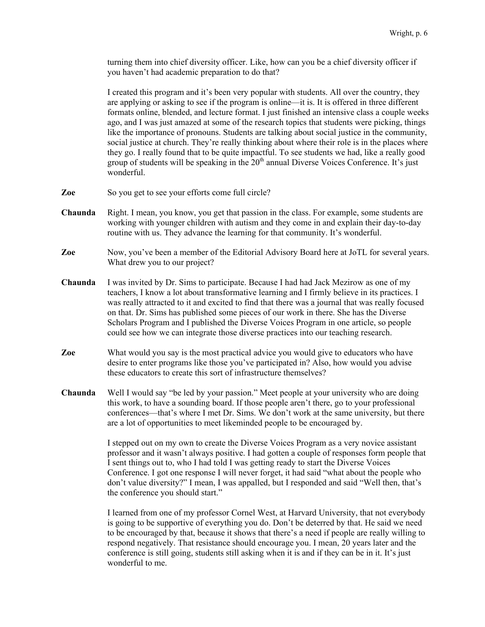turning them into chief diversity officer. Like, how can you be a chief diversity officer if you haven't had academic preparation to do that?

I created this program and it's been very popular with students. All over the country, they are applying or asking to see if the program is online—it is. It is offered in three different formats online, blended, and lecture format. I just finished an intensive class a couple weeks ago, and I was just amazed at some of the research topics that students were picking, things like the importance of pronouns. Students are talking about social justice in the community, social justice at church. They're really thinking about where their role is in the places where they go. I really found that to be quite impactful. To see students we had, like a really good group of students will be speaking in the  $20<sup>th</sup>$  annual Diverse Voices Conference. It's just wonderful.

- **Zoe** So you get to see your efforts come full circle?
- **Chaunda** Right. I mean, you know, you get that passion in the class. For example, some students are working with younger children with autism and they come in and explain their day-to-day routine with us. They advance the learning for that community. It's wonderful.
- **Zoe** Now, you've been a member of the Editorial Advisory Board here at JoTL for several years. What drew you to our project?
- **Chaunda** I was invited by Dr. Sims to participate. Because I had had Jack Mezirow as one of my teachers, I know a lot about transformative learning and I firmly believe in its practices. I was really attracted to it and excited to find that there was a journal that was really focused on that. Dr. Sims has published some pieces of our work in there. She has the Diverse Scholars Program and I published the Diverse Voices Program in one article, so people could see how we can integrate those diverse practices into our teaching research.
- **Zoe** What would you say is the most practical advice you would give to educators who have desire to enter programs like those you've participated in? Also, how would you advise these educators to create this sort of infrastructure themselves?
- **Chaunda** Well I would say "be led by your passion." Meet people at your university who are doing this work, to have a sounding board. If those people aren't there, go to your professional conferences—that's where I met Dr. Sims. We don't work at the same university, but there are a lot of opportunities to meet likeminded people to be encouraged by.

I stepped out on my own to create the Diverse Voices Program as a very novice assistant professor and it wasn't always positive. I had gotten a couple of responses form people that I sent things out to, who I had told I was getting ready to start the Diverse Voices Conference. I got one response I will never forget, it had said "what about the people who don't value diversity?" I mean, I was appalled, but I responded and said "Well then, that's the conference you should start."

I learned from one of my professor Cornel West, at Harvard University, that not everybody is going to be supportive of everything you do. Don't be deterred by that. He said we need to be encouraged by that, because it shows that there's a need if people are really willing to respond negatively. That resistance should encourage you. I mean, 20 years later and the conference is still going, students still asking when it is and if they can be in it. It's just wonderful to me.